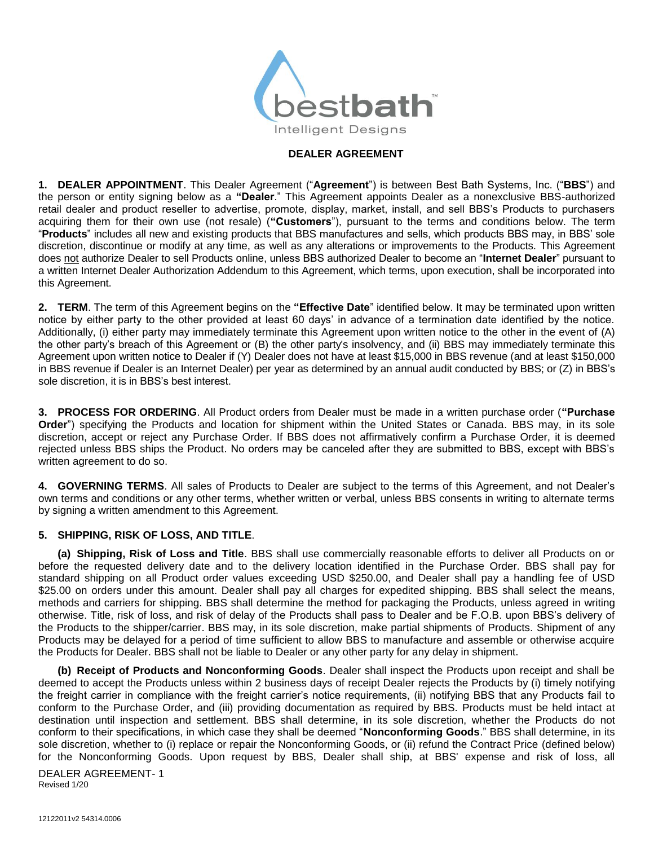

# **DEALER AGREEMENT**

**1. DEALER APPOINTMENT**. This Dealer Agreement ("**Agreement**") is between Best Bath Systems, Inc. ("**BBS**") and the person or entity signing below as a **"Dealer**." This Agreement appoints Dealer as a nonexclusive BBS-authorized retail dealer and product reseller to advertise, promote, display, market, install, and sell BBS's Products to purchasers acquiring them for their own use (not resale) (**"Customers**"), pursuant to the terms and conditions below. The term "**Products**" includes all new and existing products that BBS manufactures and sells, which products BBS may, in BBS' sole discretion, discontinue or modify at any time, as well as any alterations or improvements to the Products. This Agreement does not authorize Dealer to sell Products online, unless BBS authorized Dealer to become an "**Internet Dealer**" pursuant to a written Internet Dealer Authorization Addendum to this Agreement, which terms, upon execution, shall be incorporated into this Agreement.

**2. TERM**. The term of this Agreement begins on the **"Effective Date**" identified below. It may be terminated upon written notice by either party to the other provided at least 60 days' in advance of a termination date identified by the notice. Additionally, (i) either party may immediately terminate this Agreement upon written notice to the other in the event of (A) the other party's breach of this Agreement or (B) the other party's insolvency, and (ii) BBS may immediately terminate this Agreement upon written notice to Dealer if (Y) Dealer does not have at least \$15,000 in BBS revenue (and at least \$150,000 in BBS revenue if Dealer is an Internet Dealer) per year as determined by an annual audit conducted by BBS; or (Z) in BBS's sole discretion, it is in BBS's best interest.

**3. PROCESS FOR ORDERING**. All Product orders from Dealer must be made in a written purchase order (**"Purchase Order**") specifying the Products and location for shipment within the United States or Canada. BBS may, in its sole discretion, accept or reject any Purchase Order. If BBS does not affirmatively confirm a Purchase Order, it is deemed rejected unless BBS ships the Product. No orders may be canceled after they are submitted to BBS, except with BBS's written agreement to do so.

**4. GOVERNING TERMS**. All sales of Products to Dealer are subject to the terms of this Agreement, and not Dealer's own terms and conditions or any other terms, whether written or verbal, unless BBS consents in writing to alternate terms by signing a written amendment to this Agreement.

# **5. SHIPPING, RISK OF LOSS, AND TITLE**.

**(a) Shipping, Risk of Loss and Title**. BBS shall use commercially reasonable efforts to deliver all Products on or before the requested delivery date and to the delivery location identified in the Purchase Order. BBS shall pay for standard shipping on all Product order values exceeding USD \$250.00, and Dealer shall pay a handling fee of USD \$25.00 on orders under this amount. Dealer shall pay all charges for expedited shipping. BBS shall select the means, methods and carriers for shipping. BBS shall determine the method for packaging the Products, unless agreed in writing otherwise. Title, risk of loss, and risk of delay of the Products shall pass to Dealer and be F.O.B. upon BBS's delivery of the Products to the shipper/carrier. BBS may, in its sole discretion, make partial shipments of Products. Shipment of any Products may be delayed for a period of time sufficient to allow BBS to manufacture and assemble or otherwise acquire the Products for Dealer. BBS shall not be liable to Dealer or any other party for any delay in shipment.

**(b) Receipt of Products and Nonconforming Goods**. Dealer shall inspect the Products upon receipt and shall be deemed to accept the Products unless within 2 business days of receipt Dealer rejects the Products by (i) timely notifying the freight carrier in compliance with the freight carrier's notice requirements, (ii) notifying BBS that any Products fail to conform to the Purchase Order, and (iii) providing documentation as required by BBS. Products must be held intact at destination until inspection and settlement. BBS shall determine, in its sole discretion, whether the Products do not conform to their specifications, in which case they shall be deemed "**Nonconforming Goods**." BBS shall determine, in its sole discretion, whether to (i) replace or repair the Nonconforming Goods, or (ii) refund the Contract Price (defined below) for the Nonconforming Goods. Upon request by BBS, Dealer shall ship, at BBS' expense and risk of loss, all

DEALER AGREEMENT- 1 Revised 1/20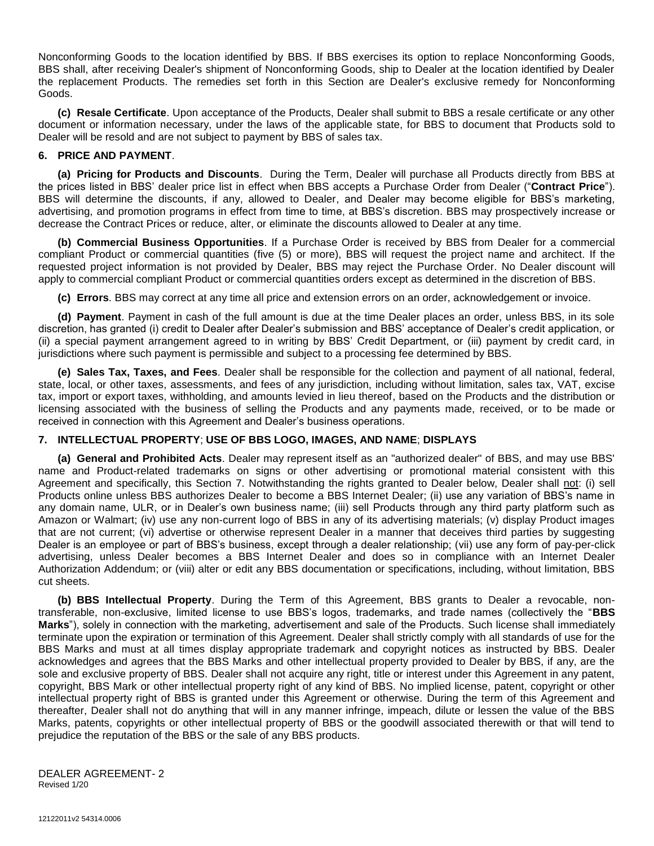Nonconforming Goods to the location identified by BBS. If BBS exercises its option to replace Nonconforming Goods, BBS shall, after receiving Dealer's shipment of Nonconforming Goods, ship to Dealer at the location identified by Dealer the replacement Products. The remedies set forth in this Section are Dealer's exclusive remedy for Nonconforming Goods.

**(c) Resale Certificate**. Upon acceptance of the Products, Dealer shall submit to BBS a resale certificate or any other document or information necessary, under the laws of the applicable state, for BBS to document that Products sold to Dealer will be resold and are not subject to payment by BBS of sales tax.

### **6. PRICE AND PAYMENT**.

**(a) Pricing for Products and Discounts**. During the Term, Dealer will purchase all Products directly from BBS at the prices listed in BBS' dealer price list in effect when BBS accepts a Purchase Order from Dealer ("**Contract Price**"). BBS will determine the discounts, if any, allowed to Dealer, and Dealer may become eligible for BBS's marketing, advertising, and promotion programs in effect from time to time, at BBS's discretion. BBS may prospectively increase or decrease the Contract Prices or reduce, alter, or eliminate the discounts allowed to Dealer at any time.

**(b) Commercial Business Opportunities**. If a Purchase Order is received by BBS from Dealer for a commercial compliant Product or commercial quantities (five (5) or more), BBS will request the project name and architect. If the requested project information is not provided by Dealer, BBS may reject the Purchase Order. No Dealer discount will apply to commercial compliant Product or commercial quantities orders except as determined in the discretion of BBS.

**(c) Errors**. BBS may correct at any time all price and extension errors on an order, acknowledgement or invoice.

**(d) Payment**. Payment in cash of the full amount is due at the time Dealer places an order, unless BBS, in its sole discretion, has granted (i) credit to Dealer after Dealer's submission and BBS' acceptance of Dealer's credit application, or (ii) a special payment arrangement agreed to in writing by BBS' Credit Department, or (iii) payment by credit card, in jurisdictions where such payment is permissible and subject to a processing fee determined by BBS.

**(e) Sales Tax, Taxes, and Fees**. Dealer shall be responsible for the collection and payment of all national, federal, state, local, or other taxes, assessments, and fees of any jurisdiction, including without limitation, sales tax, VAT, excise tax, import or export taxes, withholding, and amounts levied in lieu thereof, based on the Products and the distribution or licensing associated with the business of selling the Products and any payments made, received, or to be made or received in connection with this Agreement and Dealer's business operations.

# **7. INTELLECTUAL PROPERTY**; **USE OF BBS LOGO, IMAGES, AND NAME**; **DISPLAYS**

**(a) General and Prohibited Acts**. Dealer may represent itself as an "authorized dealer" of BBS, and may use BBS' name and Product-related trademarks on signs or other advertising or promotional material consistent with this Agreement and specifically, this Section 7. Notwithstanding the rights granted to Dealer below, Dealer shall not: (i) sell Products online unless BBS authorizes Dealer to become a BBS Internet Dealer; (ii) use any variation of BBS's name in any domain name, ULR, or in Dealer's own business name; (iii) sell Products through any third party platform such as Amazon or Walmart; (iv) use any non-current logo of BBS in any of its advertising materials; (v) display Product images that are not current; (vi) advertise or otherwise represent Dealer in a manner that deceives third parties by suggesting Dealer is an employee or part of BBS's business, except through a dealer relationship; (vii) use any form of pay-per-click advertising, unless Dealer becomes a BBS Internet Dealer and does so in compliance with an Internet Dealer Authorization Addendum; or (viii) alter or edit any BBS documentation or specifications, including, without limitation, BBS cut sheets.

**(b) BBS Intellectual Property**. During the Term of this Agreement, BBS grants to Dealer a revocable, nontransferable, non-exclusive, limited license to use BBS's logos, trademarks, and trade names (collectively the "**BBS Marks**"), solely in connection with the marketing, advertisement and sale of the Products. Such license shall immediately terminate upon the expiration or termination of this Agreement. Dealer shall strictly comply with all standards of use for the BBS Marks and must at all times display appropriate trademark and copyright notices as instructed by BBS. Dealer acknowledges and agrees that the BBS Marks and other intellectual property provided to Dealer by BBS, if any, are the sole and exclusive property of BBS. Dealer shall not acquire any right, title or interest under this Agreement in any patent, copyright, BBS Mark or other intellectual property right of any kind of BBS. No implied license, patent, copyright or other intellectual property right of BBS is granted under this Agreement or otherwise. During the term of this Agreement and thereafter, Dealer shall not do anything that will in any manner infringe, impeach, dilute or lessen the value of the BBS Marks, patents, copyrights or other intellectual property of BBS or the goodwill associated therewith or that will tend to prejudice the reputation of the BBS or the sale of any BBS products.

DEALER AGREEMENT- 2 Revised 1/20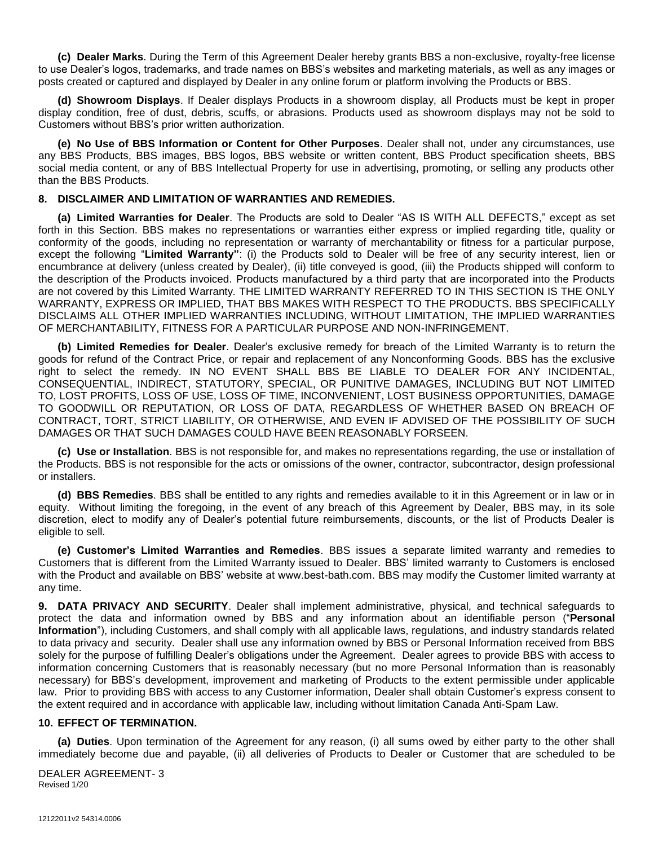**(c) Dealer Marks**. During the Term of this Agreement Dealer hereby grants BBS a non-exclusive, royalty-free license to use Dealer's logos, trademarks, and trade names on BBS's websites and marketing materials, as well as any images or posts created or captured and displayed by Dealer in any online forum or platform involving the Products or BBS.

**(d) Showroom Displays**. If Dealer displays Products in a showroom display, all Products must be kept in proper display condition, free of dust, debris, scuffs, or abrasions. Products used as showroom displays may not be sold to Customers without BBS's prior written authorization.

**(e) No Use of BBS Information or Content for Other Purposes**. Dealer shall not, under any circumstances, use any BBS Products, BBS images, BBS logos, BBS website or written content, BBS Product specification sheets, BBS social media content, or any of BBS Intellectual Property for use in advertising, promoting, or selling any products other than the BBS Products.

# **8. DISCLAIMER AND LIMITATION OF WARRANTIES AND REMEDIES.**

**(a) Limited Warranties for Dealer**. The Products are sold to Dealer "AS IS WITH ALL DEFECTS," except as set forth in this Section. BBS makes no representations or warranties either express or implied regarding title, quality or conformity of the goods, including no representation or warranty of merchantability or fitness for a particular purpose, except the following "**Limited Warranty"**: (i) the Products sold to Dealer will be free of any security interest, lien or encumbrance at delivery (unless created by Dealer), (ii) title conveyed is good, (iii) the Products shipped will conform to the description of the Products invoiced. Products manufactured by a third party that are incorporated into the Products are not covered by this Limited Warranty. THE LIMITED WARRANTY REFERRED TO IN THIS SECTION IS THE ONLY WARRANTY, EXPRESS OR IMPLIED, THAT BBS MAKES WITH RESPECT TO THE PRODUCTS. BBS SPECIFICALLY DISCLAIMS ALL OTHER IMPLIED WARRANTIES INCLUDING, WITHOUT LIMITATION, THE IMPLIED WARRANTIES OF MERCHANTABILITY, FITNESS FOR A PARTICULAR PURPOSE AND NON-INFRINGEMENT.

**(b) Limited Remedies for Dealer**. Dealer's exclusive remedy for breach of the Limited Warranty is to return the goods for refund of the Contract Price, or repair and replacement of any Nonconforming Goods. BBS has the exclusive right to select the remedy. IN NO EVENT SHALL BBS BE LIABLE TO DEALER FOR ANY INCIDENTAL, CONSEQUENTIAL, INDIRECT, STATUTORY, SPECIAL, OR PUNITIVE DAMAGES, INCLUDING BUT NOT LIMITED TO, LOST PROFITS, LOSS OF USE, LOSS OF TIME, INCONVENIENT, LOST BUSINESS OPPORTUNITIES, DAMAGE TO GOODWILL OR REPUTATION, OR LOSS OF DATA, REGARDLESS OF WHETHER BASED ON BREACH OF CONTRACT, TORT, STRICT LIABILITY, OR OTHERWISE, AND EVEN IF ADVISED OF THE POSSIBILITY OF SUCH DAMAGES OR THAT SUCH DAMAGES COULD HAVE BEEN REASONABLY FORSEEN.

**(c) Use or Installation**. BBS is not responsible for, and makes no representations regarding, the use or installation of the Products. BBS is not responsible for the acts or omissions of the owner, contractor, subcontractor, design professional or installers.

**(d) BBS Remedies**. BBS shall be entitled to any rights and remedies available to it in this Agreement or in law or in equity. Without limiting the foregoing, in the event of any breach of this Agreement by Dealer, BBS may, in its sole discretion, elect to modify any of Dealer's potential future reimbursements, discounts, or the list of Products Dealer is eligible to sell.

**(e) Customer's Limited Warranties and Remedies**. BBS issues a separate limited warranty and remedies to Customers that is different from the Limited Warranty issued to Dealer. BBS' limited warranty to Customers is enclosed with the Product and available on BBS' website at www.best-bath.com. BBS may modify the Customer limited warranty at any time.

**9. DATA PRIVACY AND SECURITY**. Dealer shall implement administrative, physical, and technical safeguards to protect the data and information owned by BBS and any information about an identifiable person ("**Personal Information**"), including Customers, and shall comply with all applicable laws, regulations, and industry standards related to data privacy and security. Dealer shall use any information owned by BBS or Personal Information received from BBS solely for the purpose of fulfilling Dealer's obligations under the Agreement. Dealer agrees to provide BBS with access to information concerning Customers that is reasonably necessary (but no more Personal Information than is reasonably necessary) for BBS's development, improvement and marketing of Products to the extent permissible under applicable law. Prior to providing BBS with access to any Customer information, Dealer shall obtain Customer's express consent to the extent required and in accordance with applicable law, including without limitation Canada Anti-Spam Law.

### **10. EFFECT OF TERMINATION.**

**(a) Duties**. Upon termination of the Agreement for any reason, (i) all sums owed by either party to the other shall immediately become due and payable, (ii) all deliveries of Products to Dealer or Customer that are scheduled to be

DEALER AGREEMENT- 3 Revised 1/20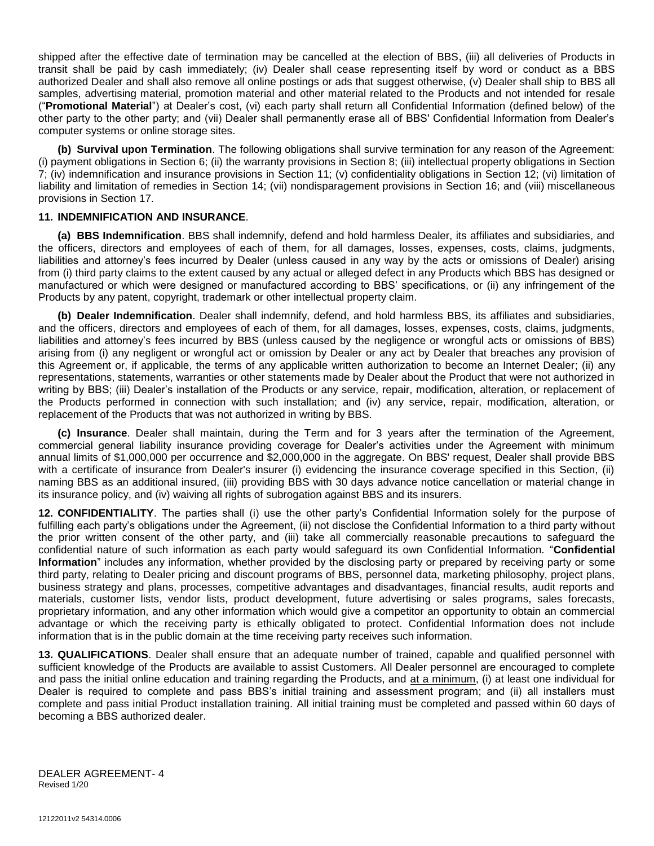shipped after the effective date of termination may be cancelled at the election of BBS, (iii) all deliveries of Products in transit shall be paid by cash immediately; (iv) Dealer shall cease representing itself by word or conduct as a BBS authorized Dealer and shall also remove all online postings or ads that suggest otherwise, (v) Dealer shall ship to BBS all samples, advertising material, promotion material and other material related to the Products and not intended for resale ("**Promotional Material**") at Dealer's cost, (vi) each party shall return all Confidential Information (defined below) of the other party to the other party; and (vii) Dealer shall permanently erase all of BBS' Confidential Information from Dealer's computer systems or online storage sites.

**(b) Survival upon Termination**. The following obligations shall survive termination for any reason of the Agreement: (i) payment obligations in Section 6; (ii) the warranty provisions in Section 8; (iii) intellectual property obligations in Section 7; (iv) indemnification and insurance provisions in Section 11; (v) confidentiality obligations in Section 12; (vi) limitation of liability and limitation of remedies in Section 14; (vii) nondisparagement provisions in Section 16; and (viii) miscellaneous provisions in Section 17.

#### **11. INDEMNIFICATION AND INSURANCE**.

**(a) BBS Indemnification**. BBS shall indemnify, defend and hold harmless Dealer, its affiliates and subsidiaries, and the officers, directors and employees of each of them, for all damages, losses, expenses, costs, claims, judgments, liabilities and attorney's fees incurred by Dealer (unless caused in any way by the acts or omissions of Dealer) arising from (i) third party claims to the extent caused by any actual or alleged defect in any Products which BBS has designed or manufactured or which were designed or manufactured according to BBS' specifications, or (ii) any infringement of the Products by any patent, copyright, trademark or other intellectual property claim.

**(b) Dealer Indemnification**. Dealer shall indemnify, defend, and hold harmless BBS, its affiliates and subsidiaries, and the officers, directors and employees of each of them, for all damages, losses, expenses, costs, claims, judgments, liabilities and attorney's fees incurred by BBS (unless caused by the negligence or wrongful acts or omissions of BBS) arising from (i) any negligent or wrongful act or omission by Dealer or any act by Dealer that breaches any provision of this Agreement or, if applicable, the terms of any applicable written authorization to become an Internet Dealer; (ii) any representations, statements, warranties or other statements made by Dealer about the Product that were not authorized in writing by BBS; (iii) Dealer's installation of the Products or any service, repair, modification, alteration, or replacement of the Products performed in connection with such installation; and (iv) any service, repair, modification, alteration, or replacement of the Products that was not authorized in writing by BBS.

**(c) Insurance**. Dealer shall maintain, during the Term and for 3 years after the termination of the Agreement, commercial general liability insurance providing coverage for Dealer's activities under the Agreement with minimum annual limits of \$1,000,000 per occurrence and \$2,000,000 in the aggregate. On BBS' request, Dealer shall provide BBS with a certificate of insurance from Dealer's insurer (i) evidencing the insurance coverage specified in this Section, (ii) naming BBS as an additional insured, (iii) providing BBS with 30 days advance notice cancellation or material change in its insurance policy, and (iv) waiving all rights of subrogation against BBS and its insurers.

**12. CONFIDENTIALITY**. The parties shall (i) use the other party's Confidential Information solely for the purpose of fulfilling each party's obligations under the Agreement, (ii) not disclose the Confidential Information to a third party without the prior written consent of the other party, and (iii) take all commercially reasonable precautions to safeguard the confidential nature of such information as each party would safeguard its own Confidential Information. "**Confidential Information**" includes any information, whether provided by the disclosing party or prepared by receiving party or some third party, relating to Dealer pricing and discount programs of BBS, personnel data, marketing philosophy, project plans, business strategy and plans, processes, competitive advantages and disadvantages, financial results, audit reports and materials, customer lists, vendor lists, product development, future advertising or sales programs, sales forecasts, proprietary information, and any other information which would give a competitor an opportunity to obtain an commercial advantage or which the receiving party is ethically obligated to protect. Confidential Information does not include information that is in the public domain at the time receiving party receives such information.

**13. QUALIFICATIONS**. Dealer shall ensure that an adequate number of trained, capable and qualified personnel with sufficient knowledge of the Products are available to assist Customers. All Dealer personnel are encouraged to complete and pass the initial online education and training regarding the Products, and at a minimum, (i) at least one individual for Dealer is required to complete and pass BBS's initial training and assessment program; and (ii) all installers must complete and pass initial Product installation training. All initial training must be completed and passed within 60 days of becoming a BBS authorized dealer.

DEALER AGREEMENT- 4 Revised 1/20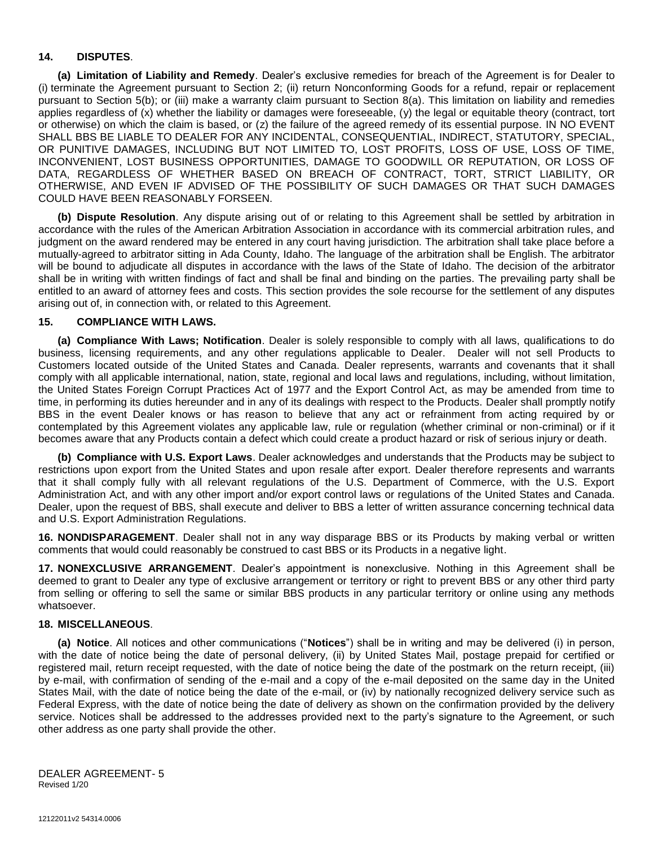# **14. DISPUTES**.

**(a) Limitation of Liability and Remedy**. Dealer's exclusive remedies for breach of the Agreement is for Dealer to (i) terminate the Agreement pursuant to Section 2; (ii) return Nonconforming Goods for a refund, repair or replacement pursuant to Section 5(b); or (iii) make a warranty claim pursuant to Section 8(a). This limitation on liability and remedies applies regardless of (x) whether the liability or damages were foreseeable, (y) the legal or equitable theory (contract, tort or otherwise) on which the claim is based, or (z) the failure of the agreed remedy of its essential purpose. IN NO EVENT SHALL BBS BE LIABLE TO DEALER FOR ANY INCIDENTAL, CONSEQUENTIAL, INDIRECT, STATUTORY, SPECIAL, OR PUNITIVE DAMAGES, INCLUDING BUT NOT LIMITED TO, LOST PROFITS, LOSS OF USE, LOSS OF TIME, INCONVENIENT, LOST BUSINESS OPPORTUNITIES, DAMAGE TO GOODWILL OR REPUTATION, OR LOSS OF DATA, REGARDLESS OF WHETHER BASED ON BREACH OF CONTRACT, TORT, STRICT LIABILITY, OR OTHERWISE, AND EVEN IF ADVISED OF THE POSSIBILITY OF SUCH DAMAGES OR THAT SUCH DAMAGES COULD HAVE BEEN REASONABLY FORSEEN.

**(b) Dispute Resolution**. Any dispute arising out of or relating to this Agreement shall be settled by arbitration in accordance with the rules of the American Arbitration Association in accordance with its commercial arbitration rules, and judgment on the award rendered may be entered in any court having jurisdiction. The arbitration shall take place before a mutually-agreed to arbitrator sitting in Ada County, Idaho. The language of the arbitration shall be English. The arbitrator will be bound to adjudicate all disputes in accordance with the laws of the State of Idaho. The decision of the arbitrator shall be in writing with written findings of fact and shall be final and binding on the parties. The prevailing party shall be entitled to an award of attorney fees and costs. This section provides the sole recourse for the settlement of any disputes arising out of, in connection with, or related to this Agreement.

### **15. COMPLIANCE WITH LAWS.**

**(a) Compliance With Laws; Notification**. Dealer is solely responsible to comply with all laws, qualifications to do business, licensing requirements, and any other regulations applicable to Dealer. Dealer will not sell Products to Customers located outside of the United States and Canada. Dealer represents, warrants and covenants that it shall comply with all applicable international, nation, state, regional and local laws and regulations, including, without limitation, the United States Foreign Corrupt Practices Act of 1977 and the Export Control Act, as may be amended from time to time, in performing its duties hereunder and in any of its dealings with respect to the Products. Dealer shall promptly notify BBS in the event Dealer knows or has reason to believe that any act or refrainment from acting required by or contemplated by this Agreement violates any applicable law, rule or regulation (whether criminal or non-criminal) or if it becomes aware that any Products contain a defect which could create a product hazard or risk of serious injury or death.

**(b) Compliance with U.S. Export Laws**. Dealer acknowledges and understands that the Products may be subject to restrictions upon export from the United States and upon resale after export. Dealer therefore represents and warrants that it shall comply fully with all relevant regulations of the U.S. Department of Commerce, with the U.S. Export Administration Act, and with any other import and/or export control laws or regulations of the United States and Canada. Dealer, upon the request of BBS, shall execute and deliver to BBS a letter of written assurance concerning technical data and U.S. Export Administration Regulations.

**16. NONDISPARAGEMENT**. Dealer shall not in any way disparage BBS or its Products by making verbal or written comments that would could reasonably be construed to cast BBS or its Products in a negative light.

**17. NONEXCLUSIVE ARRANGEMENT**. Dealer's appointment is nonexclusive. Nothing in this Agreement shall be deemed to grant to Dealer any type of exclusive arrangement or territory or right to prevent BBS or any other third party from selling or offering to sell the same or similar BBS products in any particular territory or online using any methods whatsoever.

### **18. MISCELLANEOUS**.

**(a) Notice**. All notices and other communications ("**Notices**") shall be in writing and may be delivered (i) in person, with the date of notice being the date of personal delivery, (ii) by United States Mail, postage prepaid for certified or registered mail, return receipt requested, with the date of notice being the date of the postmark on the return receipt, (iii) by e-mail, with confirmation of sending of the e-mail and a copy of the e-mail deposited on the same day in the United States Mail, with the date of notice being the date of the e-mail, or (iv) by nationally recognized delivery service such as Federal Express, with the date of notice being the date of delivery as shown on the confirmation provided by the delivery service. Notices shall be addressed to the addresses provided next to the party's signature to the Agreement, or such other address as one party shall provide the other.

DEALER AGREEMENT- 5 Revised 1/20